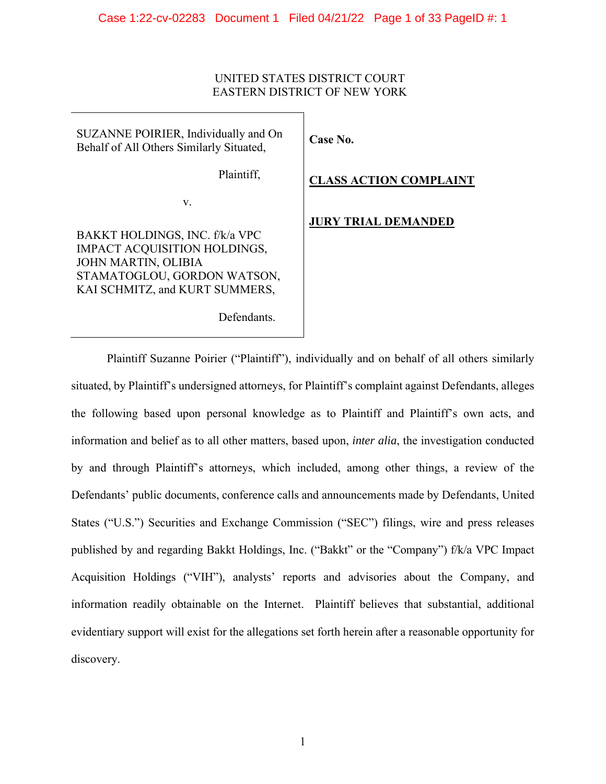# UNITED STATES DISTRICT COURT EASTERN DISTRICT OF NEW YORK

SUZANNE POIRIER, Individually and On Behalf of All Others Similarly Situated,

Plaintiff,

v.

BAKKT HOLDINGS, INC. f/k/a VPC IMPACT ACQUISITION HOLDINGS, JOHN MARTIN, OLIBIA STAMATOGLOU, GORDON WATSON, KAI SCHMITZ, and KURT SUMMERS,

Defendants.

# **Case No.**

**CLASS ACTION COMPLAINT** 

# **JURY TRIAL DEMANDED**

Plaintiff Suzanne Poirier ("Plaintiff"), individually and on behalf of all others similarly situated, by Plaintiff's undersigned attorneys, for Plaintiff's complaint against Defendants, alleges the following based upon personal knowledge as to Plaintiff and Plaintiff's own acts, and information and belief as to all other matters, based upon, *inter alia*, the investigation conducted by and through Plaintiff's attorneys, which included, among other things, a review of the Defendants' public documents, conference calls and announcements made by Defendants, United States ("U.S.") Securities and Exchange Commission ("SEC") filings, wire and press releases published by and regarding Bakkt Holdings, Inc. ("Bakkt" or the "Company") f/k/a VPC Impact Acquisition Holdings ("VIH"), analysts' reports and advisories about the Company, and information readily obtainable on the Internet. Plaintiff believes that substantial, additional evidentiary support will exist for the allegations set forth herein after a reasonable opportunity for discovery.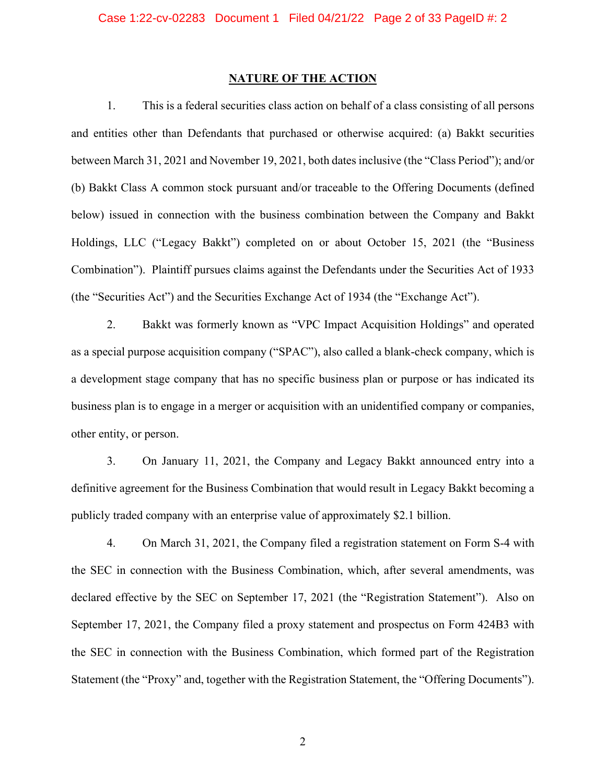#### **NATURE OF THE ACTION**

1. This is a federal securities class action on behalf of a class consisting of all persons and entities other than Defendants that purchased or otherwise acquired: (a) Bakkt securities between March 31, 2021 and November 19, 2021, both dates inclusive (the "Class Period"); and/or (b) Bakkt Class A common stock pursuant and/or traceable to the Offering Documents (defined below) issued in connection with the business combination between the Company and Bakkt Holdings, LLC ("Legacy Bakkt") completed on or about October 15, 2021 (the "Business Combination"). Plaintiff pursues claims against the Defendants under the Securities Act of 1933 (the "Securities Act") and the Securities Exchange Act of 1934 (the "Exchange Act").

2. Bakkt was formerly known as "VPC Impact Acquisition Holdings" and operated as a special purpose acquisition company ("SPAC"), also called a blank-check company, which is a development stage company that has no specific business plan or purpose or has indicated its business plan is to engage in a merger or acquisition with an unidentified company or companies, other entity, or person.

3. On January 11, 2021, the Company and Legacy Bakkt announced entry into a definitive agreement for the Business Combination that would result in Legacy Bakkt becoming a publicly traded company with an enterprise value of approximately \$2.1 billion.

4. On March 31, 2021, the Company filed a registration statement on Form S-4 with the SEC in connection with the Business Combination, which, after several amendments, was declared effective by the SEC on September 17, 2021 (the "Registration Statement"). Also on September 17, 2021, the Company filed a proxy statement and prospectus on Form 424B3 with the SEC in connection with the Business Combination, which formed part of the Registration Statement (the "Proxy" and, together with the Registration Statement, the "Offering Documents").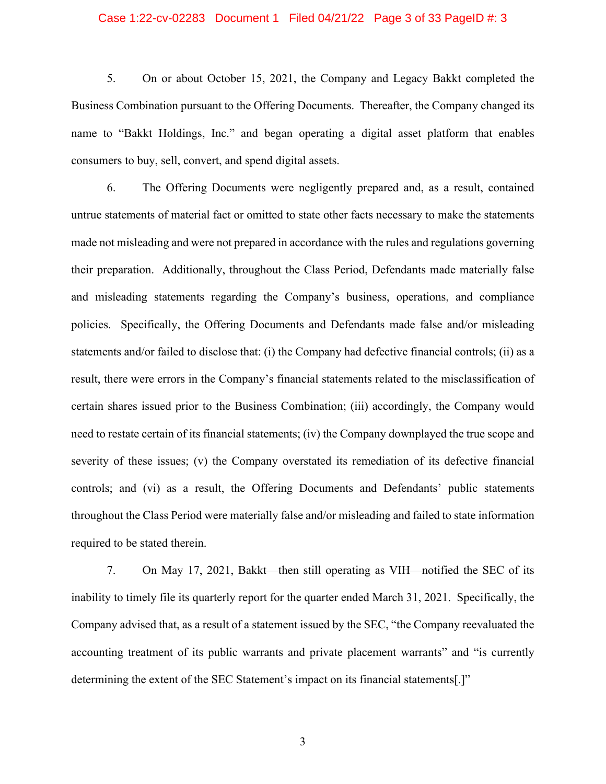# Case 1:22-cv-02283 Document 1 Filed 04/21/22 Page 3 of 33 PageID #: 3

5. On or about October 15, 2021, the Company and Legacy Bakkt completed the Business Combination pursuant to the Offering Documents. Thereafter, the Company changed its name to "Bakkt Holdings, Inc." and began operating a digital asset platform that enables consumers to buy, sell, convert, and spend digital assets.

6. The Offering Documents were negligently prepared and, as a result, contained untrue statements of material fact or omitted to state other facts necessary to make the statements made not misleading and were not prepared in accordance with the rules and regulations governing their preparation. Additionally, throughout the Class Period, Defendants made materially false and misleading statements regarding the Company's business, operations, and compliance policies. Specifically, the Offering Documents and Defendants made false and/or misleading statements and/or failed to disclose that: (i) the Company had defective financial controls; (ii) as a result, there were errors in the Company's financial statements related to the misclassification of certain shares issued prior to the Business Combination; (iii) accordingly, the Company would need to restate certain of its financial statements; (iv) the Company downplayed the true scope and severity of these issues; (v) the Company overstated its remediation of its defective financial controls; and (vi) as a result, the Offering Documents and Defendants' public statements throughout the Class Period were materially false and/or misleading and failed to state information required to be stated therein.

7. On May 17, 2021, Bakkt—then still operating as VIH—notified the SEC of its inability to timely file its quarterly report for the quarter ended March 31, 2021. Specifically, the Company advised that, as a result of a statement issued by the SEC, "the Company reevaluated the accounting treatment of its public warrants and private placement warrants" and "is currently determining the extent of the SEC Statement's impact on its financial statements[.]"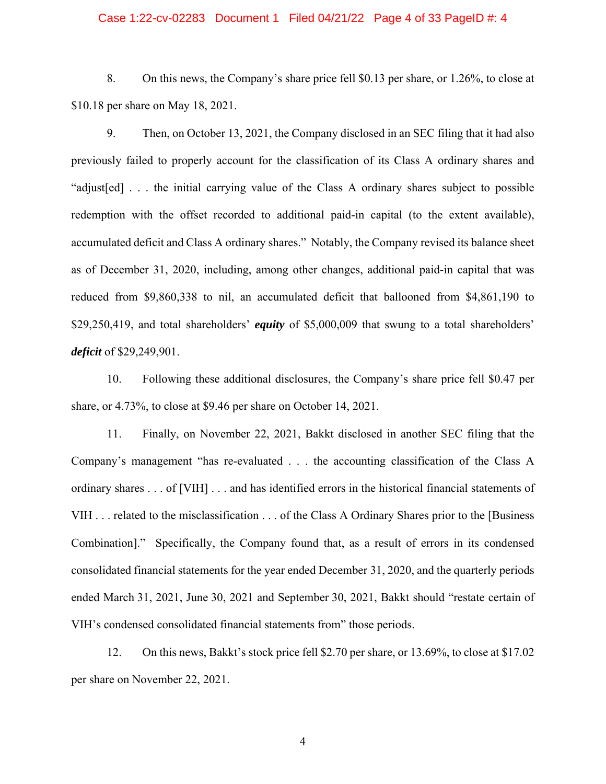## Case 1:22-cv-02283 Document 1 Filed 04/21/22 Page 4 of 33 PageID #: 4

8. On this news, the Company's share price fell \$0.13 per share, or 1.26%, to close at \$10.18 per share on May 18, 2021.

9. Then, on October 13, 2021, the Company disclosed in an SEC filing that it had also previously failed to properly account for the classification of its Class A ordinary shares and "adjust[ed] . . . the initial carrying value of the Class A ordinary shares subject to possible redemption with the offset recorded to additional paid-in capital (to the extent available), accumulated deficit and Class A ordinary shares." Notably, the Company revised its balance sheet as of December 31, 2020, including, among other changes, additional paid-in capital that was reduced from \$9,860,338 to nil, an accumulated deficit that ballooned from \$4,861,190 to \$29,250,419, and total shareholders' *equity* of \$5,000,009 that swung to a total shareholders' *deficit* of \$29,249,901.

10. Following these additional disclosures, the Company's share price fell \$0.47 per share, or 4.73%, to close at \$9.46 per share on October 14, 2021.

11. Finally, on November 22, 2021, Bakkt disclosed in another SEC filing that the Company's management "has re-evaluated . . . the accounting classification of the Class A ordinary shares . . . of [VIH] . . . and has identified errors in the historical financial statements of VIH . . . related to the misclassification . . . of the Class A Ordinary Shares prior to the [Business Combination]." Specifically, the Company found that, as a result of errors in its condensed consolidated financial statements for the year ended December 31, 2020, and the quarterly periods ended March 31, 2021, June 30, 2021 and September 30, 2021, Bakkt should "restate certain of VIH's condensed consolidated financial statements from" those periods.

12. On this news, Bakkt's stock price fell \$2.70 per share, or 13.69%, to close at \$17.02 per share on November 22, 2021.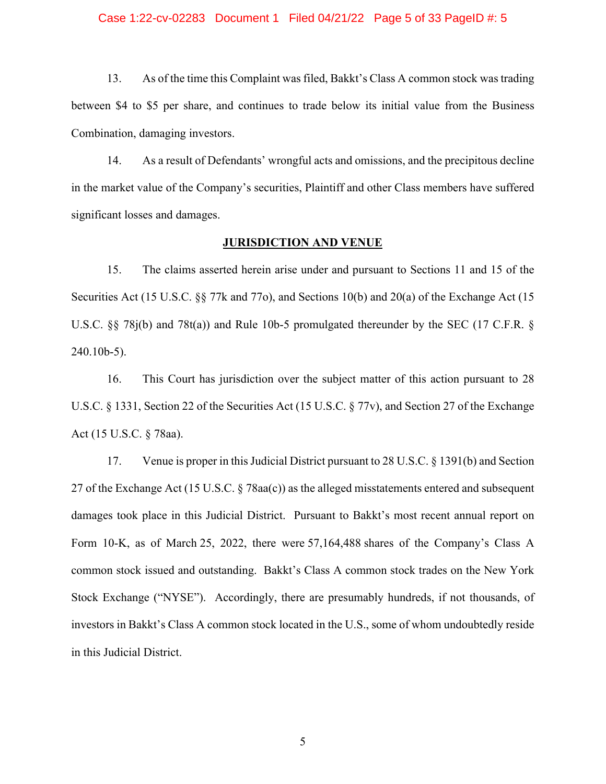#### Case 1:22-cv-02283 Document 1 Filed 04/21/22 Page 5 of 33 PageID #: 5

13. As of the time this Complaint was filed, Bakkt's Class A common stock was trading between \$4 to \$5 per share, and continues to trade below its initial value from the Business Combination, damaging investors.

14. As a result of Defendants' wrongful acts and omissions, and the precipitous decline in the market value of the Company's securities, Plaintiff and other Class members have suffered significant losses and damages.

#### **JURISDICTION AND VENUE**

15. The claims asserted herein arise under and pursuant to Sections 11 and 15 of the Securities Act (15 U.S.C. §§ 77k and 77o), and Sections 10(b) and 20(a) of the Exchange Act (15 U.S.C. §§ 78j(b) and 78t(a)) and Rule 10b-5 promulgated thereunder by the SEC (17 C.F.R. § 240.10b-5).

16. This Court has jurisdiction over the subject matter of this action pursuant to 28 U.S.C. § 1331, Section 22 of the Securities Act (15 U.S.C. § 77v), and Section 27 of the Exchange Act (15 U.S.C. § 78aa).

17. Venue is proper in this Judicial District pursuant to 28 U.S.C. § 1391(b) and Section 27 of the Exchange Act (15 U.S.C. § 78aa(c)) as the alleged misstatements entered and subsequent damages took place in this Judicial District. Pursuant to Bakkt's most recent annual report on Form 10-K, as of March 25, 2022, there were 57,164,488 shares of the Company's Class A common stock issued and outstanding. Bakkt's Class A common stock trades on the New York Stock Exchange ("NYSE"). Accordingly, there are presumably hundreds, if not thousands, of investors in Bakkt's Class A common stock located in the U.S., some of whom undoubtedly reside in this Judicial District.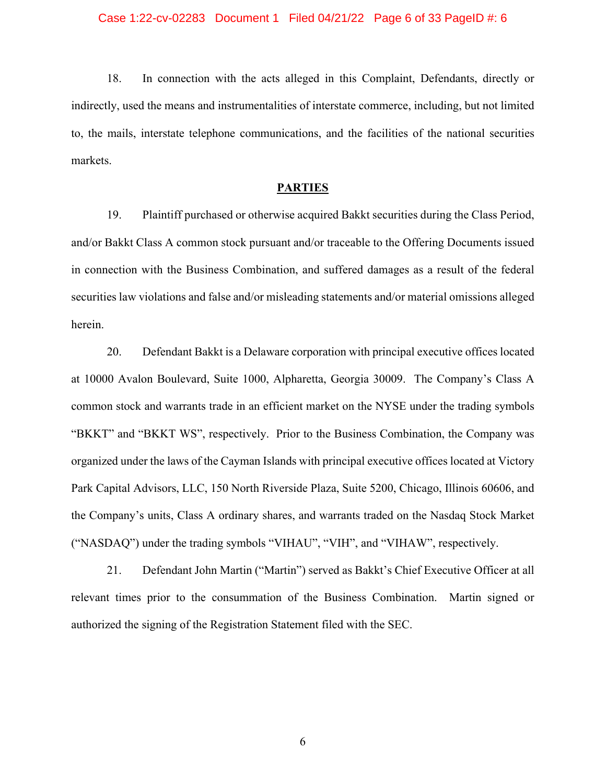18. In connection with the acts alleged in this Complaint, Defendants, directly or indirectly, used the means and instrumentalities of interstate commerce, including, but not limited to, the mails, interstate telephone communications, and the facilities of the national securities markets.

## **PARTIES**

19. Plaintiff purchased or otherwise acquired Bakkt securities during the Class Period, and/or Bakkt Class A common stock pursuant and/or traceable to the Offering Documents issued in connection with the Business Combination, and suffered damages as a result of the federal securities law violations and false and/or misleading statements and/or material omissions alleged herein.

20. Defendant Bakkt is a Delaware corporation with principal executive offices located at 10000 Avalon Boulevard, Suite 1000, Alpharetta, Georgia 30009. The Company's Class A common stock and warrants trade in an efficient market on the NYSE under the trading symbols "BKKT" and "BKKT WS", respectively. Prior to the Business Combination, the Company was organized under the laws of the Cayman Islands with principal executive offices located at Victory Park Capital Advisors, LLC, 150 North Riverside Plaza, Suite 5200, Chicago, Illinois 60606, and the Company's units, Class A ordinary shares, and warrants traded on the Nasdaq Stock Market ("NASDAQ") under the trading symbols "VIHAU", "VIH", and "VIHAW", respectively.

21. Defendant John Martin ("Martin") served as Bakkt's Chief Executive Officer at all relevant times prior to the consummation of the Business Combination. Martin signed or authorized the signing of the Registration Statement filed with the SEC.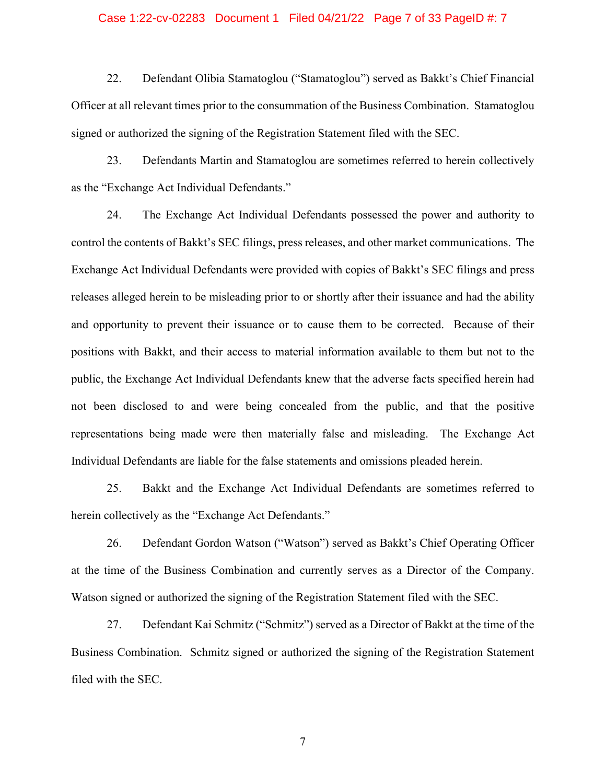#### Case 1:22-cv-02283 Document 1 Filed 04/21/22 Page 7 of 33 PageID #: 7

22. Defendant Olibia Stamatoglou ("Stamatoglou") served as Bakkt's Chief Financial Officer at all relevant times prior to the consummation of the Business Combination. Stamatoglou signed or authorized the signing of the Registration Statement filed with the SEC.

23. Defendants Martin and Stamatoglou are sometimes referred to herein collectively as the "Exchange Act Individual Defendants."

24. The Exchange Act Individual Defendants possessed the power and authority to control the contents of Bakkt's SEC filings, press releases, and other market communications. The Exchange Act Individual Defendants were provided with copies of Bakkt's SEC filings and press releases alleged herein to be misleading prior to or shortly after their issuance and had the ability and opportunity to prevent their issuance or to cause them to be corrected. Because of their positions with Bakkt, and their access to material information available to them but not to the public, the Exchange Act Individual Defendants knew that the adverse facts specified herein had not been disclosed to and were being concealed from the public, and that the positive representations being made were then materially false and misleading. The Exchange Act Individual Defendants are liable for the false statements and omissions pleaded herein.

25. Bakkt and the Exchange Act Individual Defendants are sometimes referred to herein collectively as the "Exchange Act Defendants."

26. Defendant Gordon Watson ("Watson") served as Bakkt's Chief Operating Officer at the time of the Business Combination and currently serves as a Director of the Company. Watson signed or authorized the signing of the Registration Statement filed with the SEC.

27. Defendant Kai Schmitz ("Schmitz") served as a Director of Bakkt at the time of the Business Combination. Schmitz signed or authorized the signing of the Registration Statement filed with the SEC.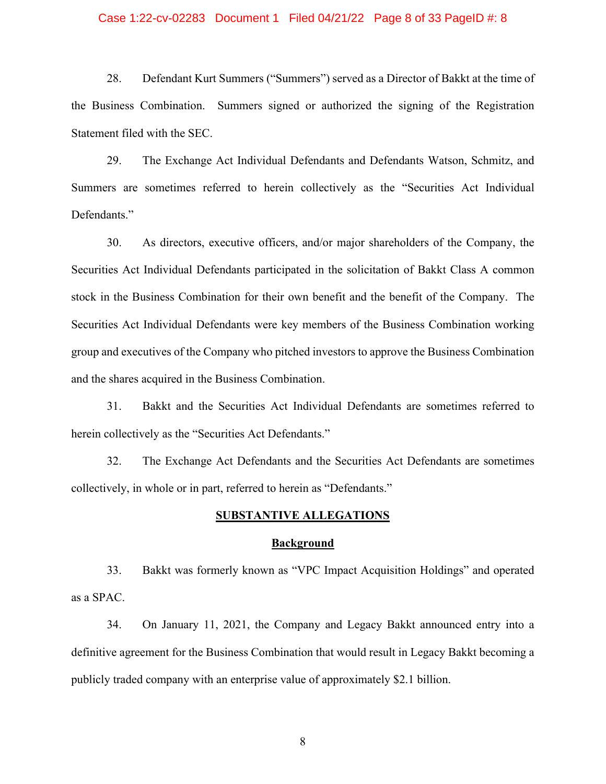#### Case 1:22-cv-02283 Document 1 Filed 04/21/22 Page 8 of 33 PageID #: 8

28. Defendant Kurt Summers ("Summers") served as a Director of Bakkt at the time of the Business Combination. Summers signed or authorized the signing of the Registration Statement filed with the SEC.

29. The Exchange Act Individual Defendants and Defendants Watson, Schmitz, and Summers are sometimes referred to herein collectively as the "Securities Act Individual Defendants."

30. As directors, executive officers, and/or major shareholders of the Company, the Securities Act Individual Defendants participated in the solicitation of Bakkt Class A common stock in the Business Combination for their own benefit and the benefit of the Company. The Securities Act Individual Defendants were key members of the Business Combination working group and executives of the Company who pitched investors to approve the Business Combination and the shares acquired in the Business Combination.

31. Bakkt and the Securities Act Individual Defendants are sometimes referred to herein collectively as the "Securities Act Defendants."

32. The Exchange Act Defendants and the Securities Act Defendants are sometimes collectively, in whole or in part, referred to herein as "Defendants."

#### **SUBSTANTIVE ALLEGATIONS**

#### **Background**

33. Bakkt was formerly known as "VPC Impact Acquisition Holdings" and operated as a SPAC.

34. On January 11, 2021, the Company and Legacy Bakkt announced entry into a definitive agreement for the Business Combination that would result in Legacy Bakkt becoming a publicly traded company with an enterprise value of approximately \$2.1 billion.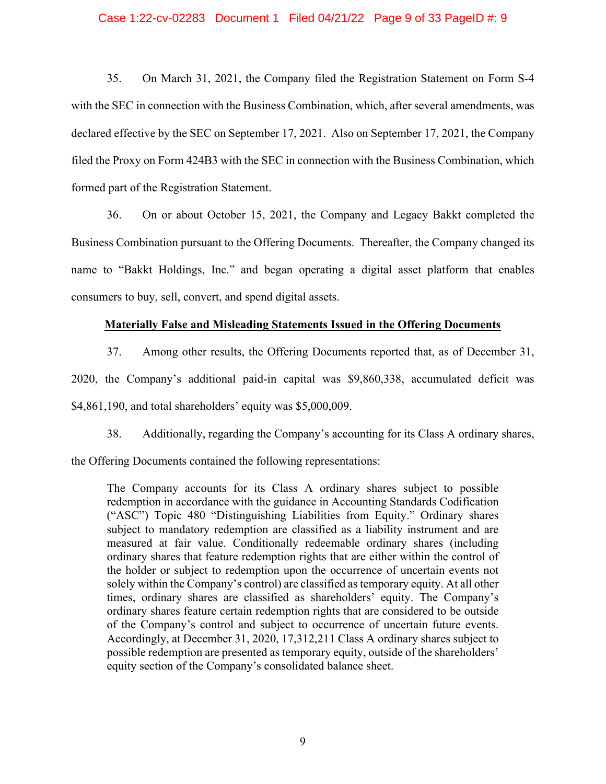#### Case 1:22-cv-02283 Document 1 Filed 04/21/22 Page 9 of 33 PageID #: 9

35. On March 31, 2021, the Company filed the Registration Statement on Form S-4 with the SEC in connection with the Business Combination, which, after several amendments, was declared effective by the SEC on September 17, 2021. Also on September 17, 2021, the Company filed the Proxy on Form 424B3 with the SEC in connection with the Business Combination, which formed part of the Registration Statement.

36. On or about October 15, 2021, the Company and Legacy Bakkt completed the Business Combination pursuant to the Offering Documents. Thereafter, the Company changed its name to "Bakkt Holdings, Inc." and began operating a digital asset platform that enables consumers to buy, sell, convert, and spend digital assets.

## **Materially False and Misleading Statements Issued in the Offering Documents**

37. Among other results, the Offering Documents reported that, as of December 31,

2020, the Company's additional paid-in capital was \$9,860,338, accumulated deficit was \$4,861,190, and total shareholders' equity was \$5,000,009.

38. Additionally, regarding the Company's accounting for its Class A ordinary shares,

the Offering Documents contained the following representations:

The Company accounts for its Class A ordinary shares subject to possible redemption in accordance with the guidance in Accounting Standards Codification ("ASC") Topic 480 "Distinguishing Liabilities from Equity." Ordinary shares subject to mandatory redemption are classified as a liability instrument and are measured at fair value. Conditionally redeemable ordinary shares (including ordinary shares that feature redemption rights that are either within the control of the holder or subject to redemption upon the occurrence of uncertain events not solely within the Company's control) are classified as temporary equity. At all other times, ordinary shares are classified as shareholders' equity. The Company's ordinary shares feature certain redemption rights that are considered to be outside of the Company's control and subject to occurrence of uncertain future events. Accordingly, at December 31, 2020, 17,312,211 Class A ordinary shares subject to possible redemption are presented as temporary equity, outside of the shareholders' equity section of the Company's consolidated balance sheet.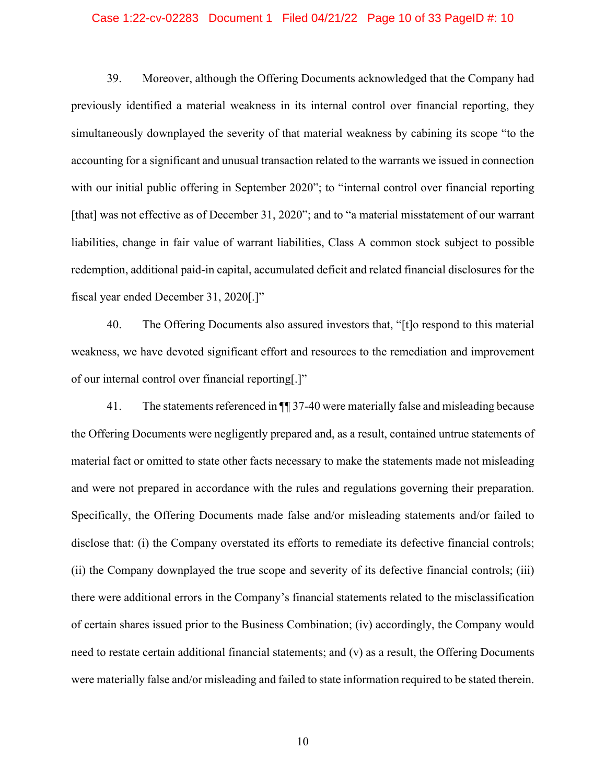## Case 1:22-cv-02283 Document 1 Filed 04/21/22 Page 10 of 33 PageID #: 10

39. Moreover, although the Offering Documents acknowledged that the Company had previously identified a material weakness in its internal control over financial reporting, they simultaneously downplayed the severity of that material weakness by cabining its scope "to the accounting for a significant and unusual transaction related to the warrants we issued in connection with our initial public offering in September 2020"; to "internal control over financial reporting [that] was not effective as of December 31, 2020"; and to "a material misstatement of our warrant liabilities, change in fair value of warrant liabilities, Class A common stock subject to possible redemption, additional paid-in capital, accumulated deficit and related financial disclosures for the fiscal year ended December 31, 2020[.]"

40. The Offering Documents also assured investors that, "[t]o respond to this material weakness, we have devoted significant effort and resources to the remediation and improvement of our internal control over financial reporting[.]"

41. The statements referenced in ¶¶ 37-40 were materially false and misleading because the Offering Documents were negligently prepared and, as a result, contained untrue statements of material fact or omitted to state other facts necessary to make the statements made not misleading and were not prepared in accordance with the rules and regulations governing their preparation. Specifically, the Offering Documents made false and/or misleading statements and/or failed to disclose that: (i) the Company overstated its efforts to remediate its defective financial controls; (ii) the Company downplayed the true scope and severity of its defective financial controls; (iii) there were additional errors in the Company's financial statements related to the misclassification of certain shares issued prior to the Business Combination; (iv) accordingly, the Company would need to restate certain additional financial statements; and (v) as a result, the Offering Documents were materially false and/or misleading and failed to state information required to be stated therein.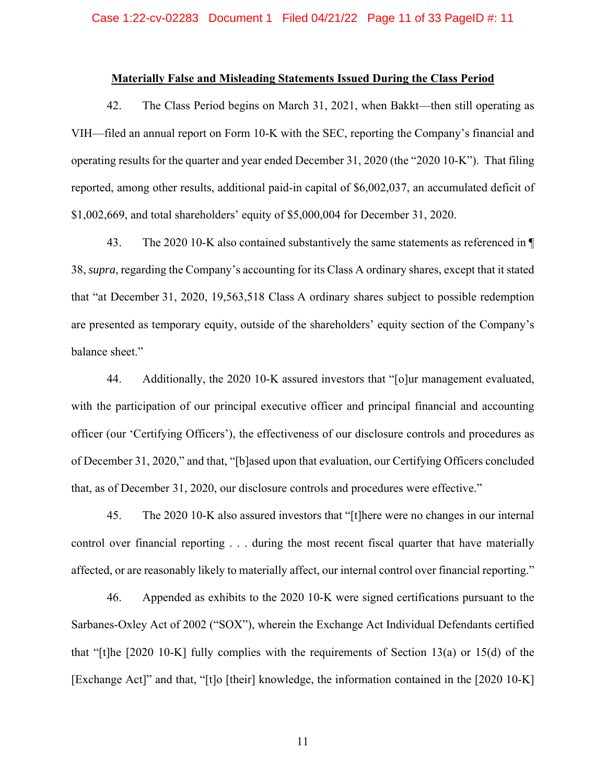### **Materially False and Misleading Statements Issued During the Class Period**

42. The Class Period begins on March 31, 2021, when Bakkt—then still operating as VIH—filed an annual report on Form 10-K with the SEC, reporting the Company's financial and operating results for the quarter and year ended December 31, 2020 (the "2020 10-K"). That filing reported, among other results, additional paid-in capital of \$6,002,037, an accumulated deficit of \$1,002,669, and total shareholders' equity of \$5,000,004 for December 31, 2020.

43. The 2020 10-K also contained substantively the same statements as referenced in ¶ 38, *supra*, regarding the Company's accounting for its Class A ordinary shares, except that it stated that "at December 31, 2020, 19,563,518 Class A ordinary shares subject to possible redemption are presented as temporary equity, outside of the shareholders' equity section of the Company's balance sheet."

44. Additionally, the 2020 10-K assured investors that "[o]ur management evaluated, with the participation of our principal executive officer and principal financial and accounting officer (our 'Certifying Officers'), the effectiveness of our disclosure controls and procedures as of December 31, 2020," and that, "[b]ased upon that evaluation, our Certifying Officers concluded that, as of December 31, 2020, our disclosure controls and procedures were effective."

45. The 2020 10-K also assured investors that "[t]here were no changes in our internal control over financial reporting . . . during the most recent fiscal quarter that have materially affected, or are reasonably likely to materially affect, our internal control over financial reporting."

46. Appended as exhibits to the 2020 10-K were signed certifications pursuant to the Sarbanes-Oxley Act of 2002 ("SOX"), wherein the Exchange Act Individual Defendants certified that "[t]he [2020 10-K] fully complies with the requirements of Section 13(a) or 15(d) of the [Exchange Act]" and that, "[t]o [their] knowledge, the information contained in the [2020 10-K]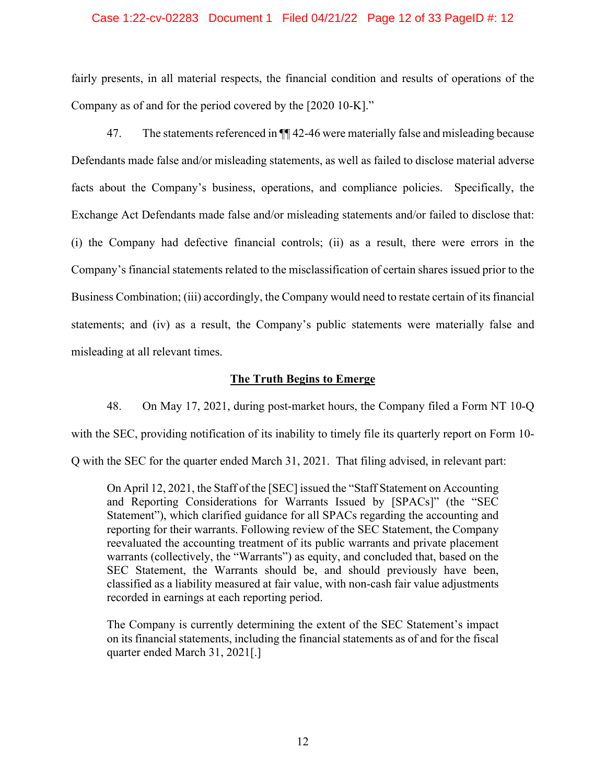#### Case 1:22-cv-02283 Document 1 Filed 04/21/22 Page 12 of 33 PageID #: 12

fairly presents, in all material respects, the financial condition and results of operations of the Company as of and for the period covered by the [2020 10-K]."

47. The statements referenced in ¶¶ 42-46 were materially false and misleading because Defendants made false and/or misleading statements, as well as failed to disclose material adverse facts about the Company's business, operations, and compliance policies. Specifically, the Exchange Act Defendants made false and/or misleading statements and/or failed to disclose that: (i) the Company had defective financial controls; (ii) as a result, there were errors in the Company's financial statements related to the misclassification of certain shares issued prior to the Business Combination; (iii) accordingly, the Company would need to restate certain of its financial statements; and (iv) as a result, the Company's public statements were materially false and misleading at all relevant times.

## **The Truth Begins to Emerge**

48. On May 17, 2021, during post-market hours, the Company filed a Form NT 10-Q with the SEC, providing notification of its inability to timely file its quarterly report on Form 10- Q with the SEC for the quarter ended March 31, 2021. That filing advised, in relevant part:

On April 12, 2021, the Staff of the [SEC] issued the "Staff Statement on Accounting and Reporting Considerations for Warrants Issued by [SPACs]" (the "SEC Statement"), which clarified guidance for all SPACs regarding the accounting and reporting for their warrants. Following review of the SEC Statement, the Company reevaluated the accounting treatment of its public warrants and private placement warrants (collectively, the "Warrants") as equity, and concluded that, based on the SEC Statement, the Warrants should be, and should previously have been, classified as a liability measured at fair value, with non-cash fair value adjustments recorded in earnings at each reporting period.

The Company is currently determining the extent of the SEC Statement's impact on its financial statements, including the financial statements as of and for the fiscal quarter ended March 31, 2021[.]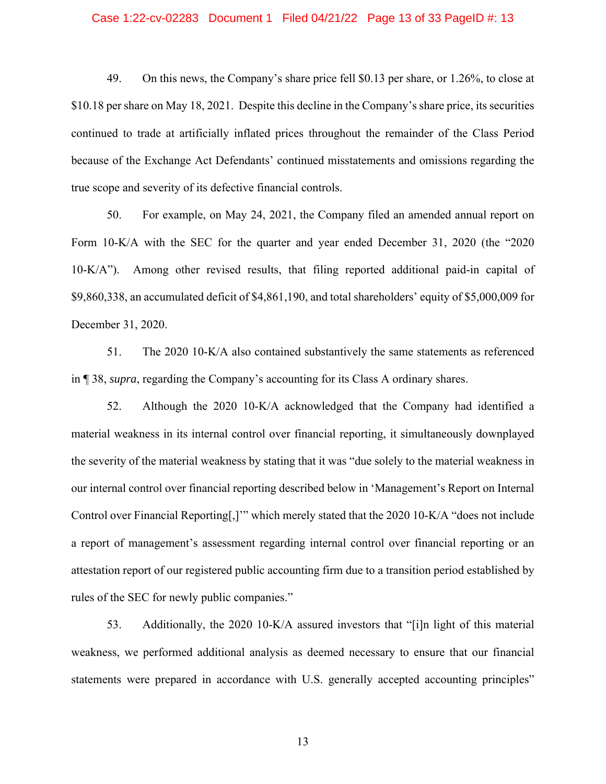#### Case 1:22-cv-02283 Document 1 Filed 04/21/22 Page 13 of 33 PageID #: 13

49. On this news, the Company's share price fell \$0.13 per share, or 1.26%, to close at \$10.18 per share on May 18, 2021. Despite this decline in the Company's share price, its securities continued to trade at artificially inflated prices throughout the remainder of the Class Period because of the Exchange Act Defendants' continued misstatements and omissions regarding the true scope and severity of its defective financial controls.

50. For example, on May 24, 2021, the Company filed an amended annual report on Form 10-K/A with the SEC for the quarter and year ended December 31, 2020 (the "2020 10-K/A"). Among other revised results, that filing reported additional paid-in capital of \$9,860,338, an accumulated deficit of \$4,861,190, and total shareholders' equity of \$5,000,009 for December 31, 2020.

51. The 2020 10-K/A also contained substantively the same statements as referenced in ¶ 38, *supra*, regarding the Company's accounting for its Class A ordinary shares.

52. Although the 2020 10-K/A acknowledged that the Company had identified a material weakness in its internal control over financial reporting, it simultaneously downplayed the severity of the material weakness by stating that it was "due solely to the material weakness in our internal control over financial reporting described below in 'Management's Report on Internal Control over Financial Reporting[,]'" which merely stated that the 2020 10-K/A "does not include a report of management's assessment regarding internal control over financial reporting or an attestation report of our registered public accounting firm due to a transition period established by rules of the SEC for newly public companies."

53. Additionally, the 2020 10-K/A assured investors that "[i]n light of this material weakness, we performed additional analysis as deemed necessary to ensure that our financial statements were prepared in accordance with U.S. generally accepted accounting principles"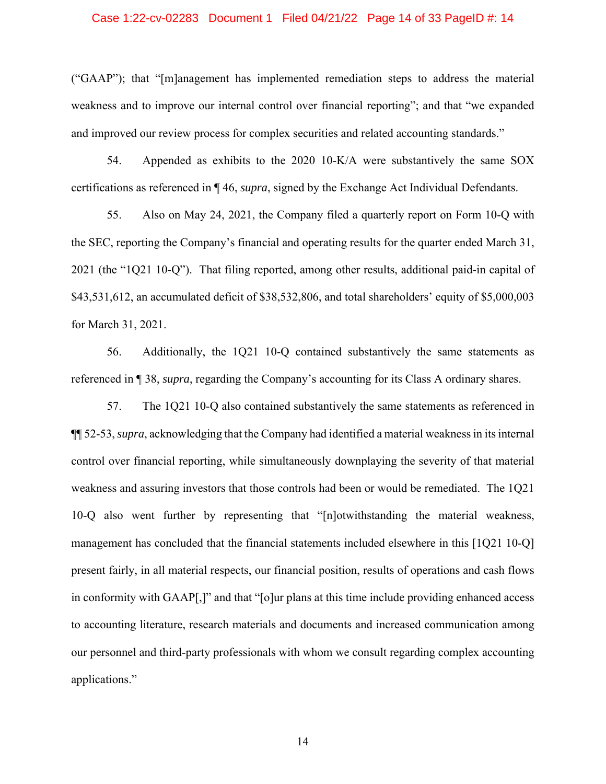# Case 1:22-cv-02283 Document 1 Filed 04/21/22 Page 14 of 33 PageID #: 14

("GAAP"); that "[m]anagement has implemented remediation steps to address the material weakness and to improve our internal control over financial reporting"; and that "we expanded and improved our review process for complex securities and related accounting standards."

54. Appended as exhibits to the 2020 10-K/A were substantively the same SOX certifications as referenced in ¶ 46, *supra*, signed by the Exchange Act Individual Defendants.

55. Also on May 24, 2021, the Company filed a quarterly report on Form 10-Q with the SEC, reporting the Company's financial and operating results for the quarter ended March 31, 2021 (the "1Q21 10-Q"). That filing reported, among other results, additional paid-in capital of \$43,531,612, an accumulated deficit of \$38,532,806, and total shareholders' equity of \$5,000,003 for March 31, 2021.

56. Additionally, the 1Q21 10-Q contained substantively the same statements as referenced in ¶ 38, *supra*, regarding the Company's accounting for its Class A ordinary shares.

57. The 1Q21 10-Q also contained substantively the same statements as referenced in ¶¶ 52-53, *supra*, acknowledging that the Company had identified a material weakness in its internal control over financial reporting, while simultaneously downplaying the severity of that material weakness and assuring investors that those controls had been or would be remediated. The 1Q21 10-Q also went further by representing that "[n]otwithstanding the material weakness, management has concluded that the financial statements included elsewhere in this [1Q21 10-Q] present fairly, in all material respects, our financial position, results of operations and cash flows in conformity with GAAP[,]" and that "[o]ur plans at this time include providing enhanced access to accounting literature, research materials and documents and increased communication among our personnel and third-party professionals with whom we consult regarding complex accounting applications."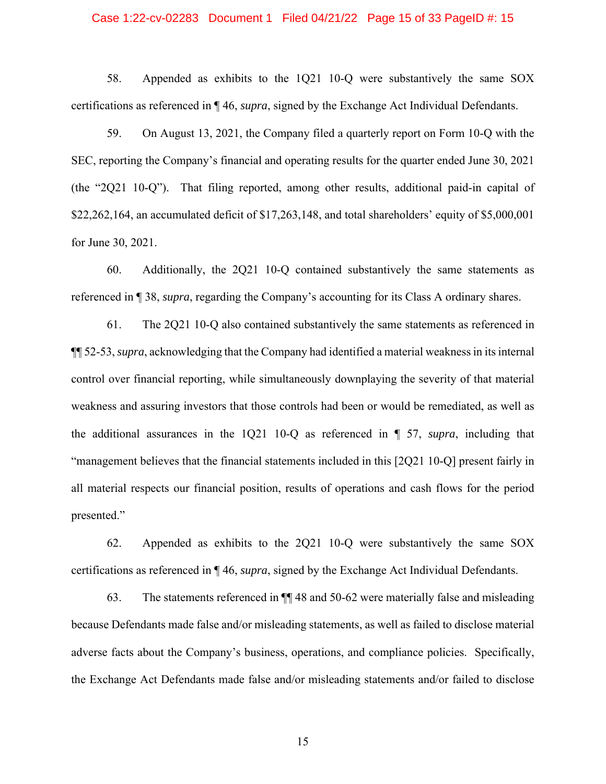#### Case 1:22-cv-02283 Document 1 Filed 04/21/22 Page 15 of 33 PageID #: 15

58. Appended as exhibits to the 1Q21 10-Q were substantively the same SOX certifications as referenced in ¶ 46, *supra*, signed by the Exchange Act Individual Defendants.

59. On August 13, 2021, the Company filed a quarterly report on Form 10-Q with the SEC, reporting the Company's financial and operating results for the quarter ended June 30, 2021 (the "2Q21 10-Q"). That filing reported, among other results, additional paid-in capital of \$22,262,164, an accumulated deficit of \$17,263,148, and total shareholders' equity of \$5,000,001 for June 30, 2021.

60. Additionally, the 2Q21 10-Q contained substantively the same statements as referenced in ¶ 38, *supra*, regarding the Company's accounting for its Class A ordinary shares.

61. The 2Q21 10-Q also contained substantively the same statements as referenced in ¶¶ 52-53, *supra*, acknowledging that the Company had identified a material weakness in its internal control over financial reporting, while simultaneously downplaying the severity of that material weakness and assuring investors that those controls had been or would be remediated, as well as the additional assurances in the 1Q21 10-Q as referenced in ¶ 57, *supra*, including that "management believes that the financial statements included in this [2Q21 10-Q] present fairly in all material respects our financial position, results of operations and cash flows for the period presented."

62. Appended as exhibits to the 2Q21 10-Q were substantively the same SOX certifications as referenced in ¶ 46, *supra*, signed by the Exchange Act Individual Defendants.

63. The statements referenced in ¶¶ 48 and 50-62 were materially false and misleading because Defendants made false and/or misleading statements, as well as failed to disclose material adverse facts about the Company's business, operations, and compliance policies. Specifically, the Exchange Act Defendants made false and/or misleading statements and/or failed to disclose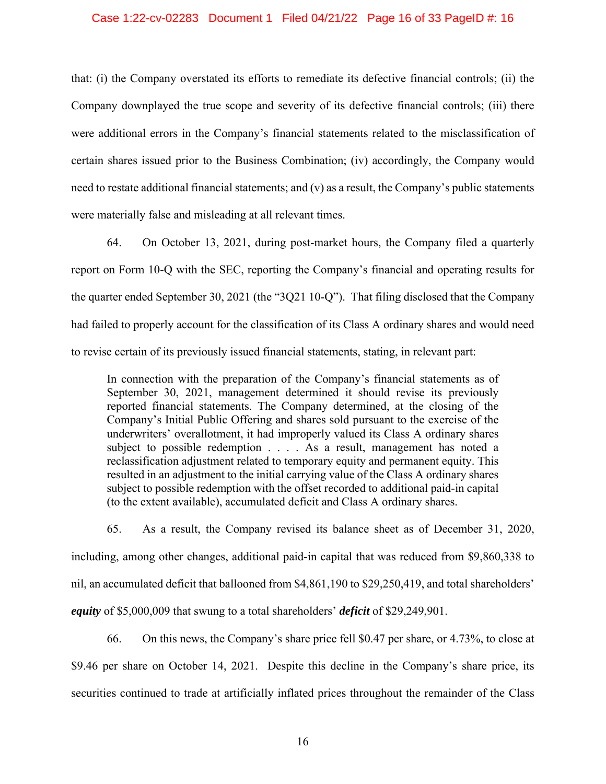### Case 1:22-cv-02283 Document 1 Filed 04/21/22 Page 16 of 33 PageID #: 16

that: (i) the Company overstated its efforts to remediate its defective financial controls; (ii) the Company downplayed the true scope and severity of its defective financial controls; (iii) there were additional errors in the Company's financial statements related to the misclassification of certain shares issued prior to the Business Combination; (iv) accordingly, the Company would need to restate additional financial statements; and (v) as a result, the Company's public statements were materially false and misleading at all relevant times.

64. On October 13, 2021, during post-market hours, the Company filed a quarterly report on Form 10-Q with the SEC, reporting the Company's financial and operating results for the quarter ended September 30, 2021 (the "3Q21 10-Q"). That filing disclosed that the Company had failed to properly account for the classification of its Class A ordinary shares and would need to revise certain of its previously issued financial statements, stating, in relevant part:

In connection with the preparation of the Company's financial statements as of September 30, 2021, management determined it should revise its previously reported financial statements. The Company determined, at the closing of the Company's Initial Public Offering and shares sold pursuant to the exercise of the underwriters' overallotment, it had improperly valued its Class A ordinary shares subject to possible redemption . . . . As a result, management has noted a reclassification adjustment related to temporary equity and permanent equity. This resulted in an adjustment to the initial carrying value of the Class A ordinary shares subject to possible redemption with the offset recorded to additional paid-in capital (to the extent available), accumulated deficit and Class A ordinary shares.

65. As a result, the Company revised its balance sheet as of December 31, 2020, including, among other changes, additional paid-in capital that was reduced from \$9,860,338 to nil, an accumulated deficit that ballooned from \$4,861,190 to \$29,250,419, and total shareholders' *equity* of \$5,000,009 that swung to a total shareholders' *deficit* of \$29,249,901.

66. On this news, the Company's share price fell \$0.47 per share, or 4.73%, to close at \$9.46 per share on October 14, 2021. Despite this decline in the Company's share price, its securities continued to trade at artificially inflated prices throughout the remainder of the Class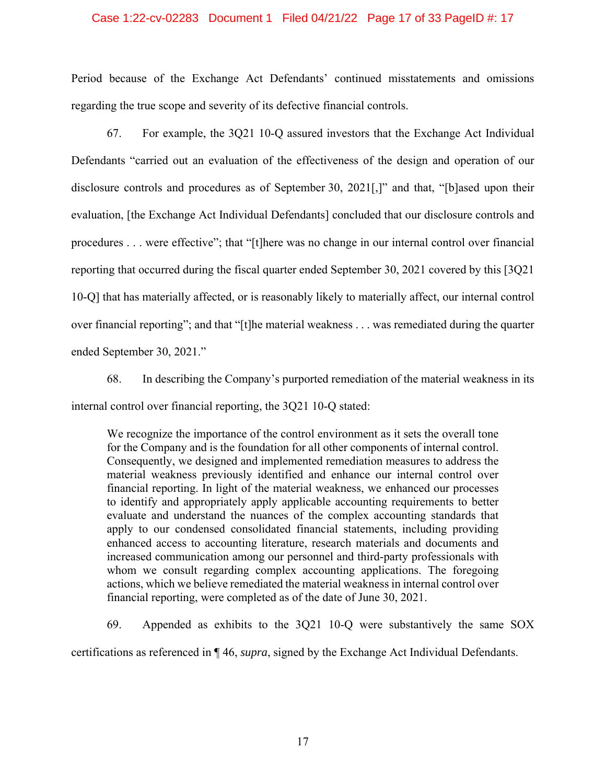### Case 1:22-cv-02283 Document 1 Filed 04/21/22 Page 17 of 33 PageID #: 17

Period because of the Exchange Act Defendants' continued misstatements and omissions regarding the true scope and severity of its defective financial controls.

67. For example, the 3Q21 10-Q assured investors that the Exchange Act Individual Defendants "carried out an evaluation of the effectiveness of the design and operation of our disclosure controls and procedures as of September 30, 2021[,]" and that, "[b]ased upon their evaluation, [the Exchange Act Individual Defendants] concluded that our disclosure controls and procedures . . . were effective"; that "[t]here was no change in our internal control over financial reporting that occurred during the fiscal quarter ended September 30, 2021 covered by this [3Q21 10-Q] that has materially affected, or is reasonably likely to materially affect, our internal control over financial reporting"; and that "[t]he material weakness . . . was remediated during the quarter ended September 30, 2021."

68. In describing the Company's purported remediation of the material weakness in its internal control over financial reporting, the 3Q21 10-Q stated:

We recognize the importance of the control environment as it sets the overall tone for the Company and is the foundation for all other components of internal control. Consequently, we designed and implemented remediation measures to address the material weakness previously identified and enhance our internal control over financial reporting. In light of the material weakness, we enhanced our processes to identify and appropriately apply applicable accounting requirements to better evaluate and understand the nuances of the complex accounting standards that apply to our condensed consolidated financial statements, including providing enhanced access to accounting literature, research materials and documents and increased communication among our personnel and third-party professionals with whom we consult regarding complex accounting applications. The foregoing actions, which we believe remediated the material weakness in internal control over financial reporting, were completed as of the date of June 30, 2021.

69. Appended as exhibits to the 3Q21 10-Q were substantively the same SOX certifications as referenced in ¶ 46, *supra*, signed by the Exchange Act Individual Defendants.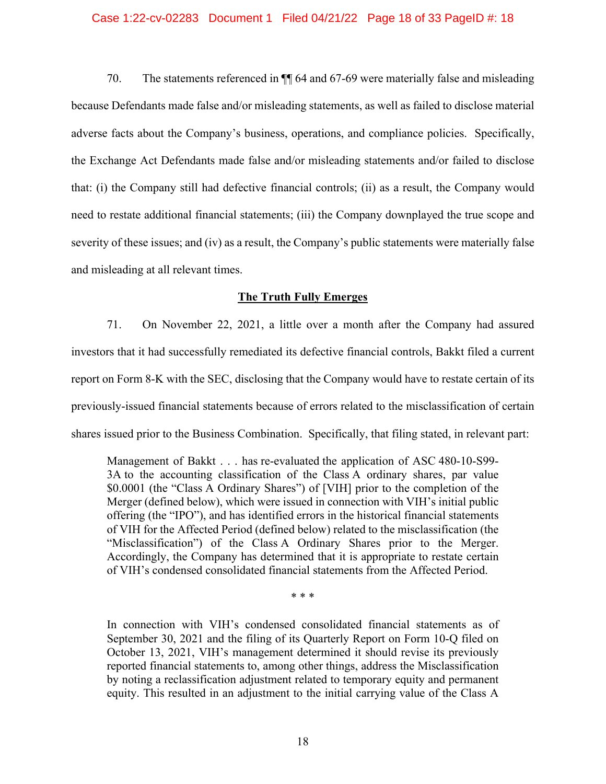## Case 1:22-cv-02283 Document 1 Filed 04/21/22 Page 18 of 33 PageID #: 18

70. The statements referenced in ¶¶ 64 and 67-69 were materially false and misleading because Defendants made false and/or misleading statements, as well as failed to disclose material adverse facts about the Company's business, operations, and compliance policies. Specifically, the Exchange Act Defendants made false and/or misleading statements and/or failed to disclose that: (i) the Company still had defective financial controls; (ii) as a result, the Company would need to restate additional financial statements; (iii) the Company downplayed the true scope and severity of these issues; and (iv) as a result, the Company's public statements were materially false and misleading at all relevant times.

# **The Truth Fully Emerges**

71. On November 22, 2021, a little over a month after the Company had assured investors that it had successfully remediated its defective financial controls, Bakkt filed a current report on Form 8-K with the SEC, disclosing that the Company would have to restate certain of its previously-issued financial statements because of errors related to the misclassification of certain shares issued prior to the Business Combination. Specifically, that filing stated, in relevant part:

Management of Bakkt . . . has re-evaluated the application of ASC 480-10-S99- 3A to the accounting classification of the Class A ordinary shares, par value \$0.0001 (the "Class A Ordinary Shares") of [VIH] prior to the completion of the Merger (defined below), which were issued in connection with VIH's initial public offering (the "IPO"), and has identified errors in the historical financial statements of VIH for the Affected Period (defined below) related to the misclassification (the "Misclassification") of the Class A Ordinary Shares prior to the Merger. Accordingly, the Company has determined that it is appropriate to restate certain of VIH's condensed consolidated financial statements from the Affected Period.

\* \* \*

In connection with VIH's condensed consolidated financial statements as of September 30, 2021 and the filing of its Quarterly Report on Form 10-Q filed on October 13, 2021, VIH's management determined it should revise its previously reported financial statements to, among other things, address the Misclassification by noting a reclassification adjustment related to temporary equity and permanent equity. This resulted in an adjustment to the initial carrying value of the Class A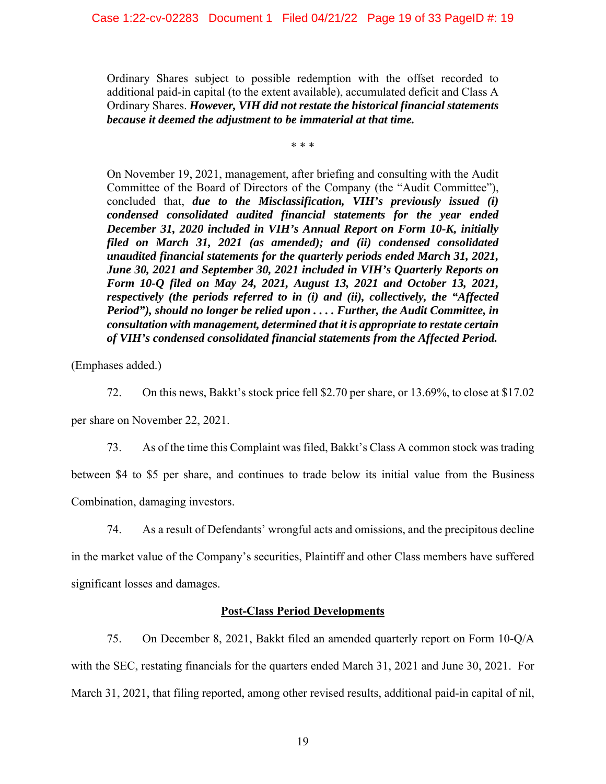Ordinary Shares subject to possible redemption with the offset recorded to additional paid-in capital (to the extent available), accumulated deficit and Class A Ordinary Shares. *However, VIH did not restate the historical financial statements because it deemed the adjustment to be immaterial at that time.*

\* \* \*

On November 19, 2021, management, after briefing and consulting with the Audit Committee of the Board of Directors of the Company (the "Audit Committee"), concluded that, *due to the Misclassification, VIH's previously issued (i) condensed consolidated audited financial statements for the year ended December 31, 2020 included in VIH's Annual Report on Form 10-K, initially filed on March 31, 2021 (as amended); and (ii) condensed consolidated unaudited financial statements for the quarterly periods ended March 31, 2021, June 30, 2021 and September 30, 2021 included in VIH's Quarterly Reports on Form 10-Q filed on May 24, 2021, August 13, 2021 and October 13, 2021, respectively (the periods referred to in (i) and (ii), collectively, the "Affected Period"), should no longer be relied upon . . . . Further, the Audit Committee, in consultation with management, determined that it is appropriate to restate certain of VIH's condensed consolidated financial statements from the Affected Period.*

(Emphases added.)

72. On this news, Bakkt's stock price fell \$2.70 per share, or 13.69%, to close at \$17.02 per share on November 22, 2021.

73. As of the time this Complaint was filed, Bakkt's Class A common stock was trading between \$4 to \$5 per share, and continues to trade below its initial value from the Business Combination, damaging investors.

74. As a result of Defendants' wrongful acts and omissions, and the precipitous decline

in the market value of the Company's securities, Plaintiff and other Class members have suffered significant losses and damages.

# **Post-Class Period Developments**

75. On December 8, 2021, Bakkt filed an amended quarterly report on Form 10-Q/A with the SEC, restating financials for the quarters ended March 31, 2021 and June 30, 2021. For March 31, 2021, that filing reported, among other revised results, additional paid-in capital of nil,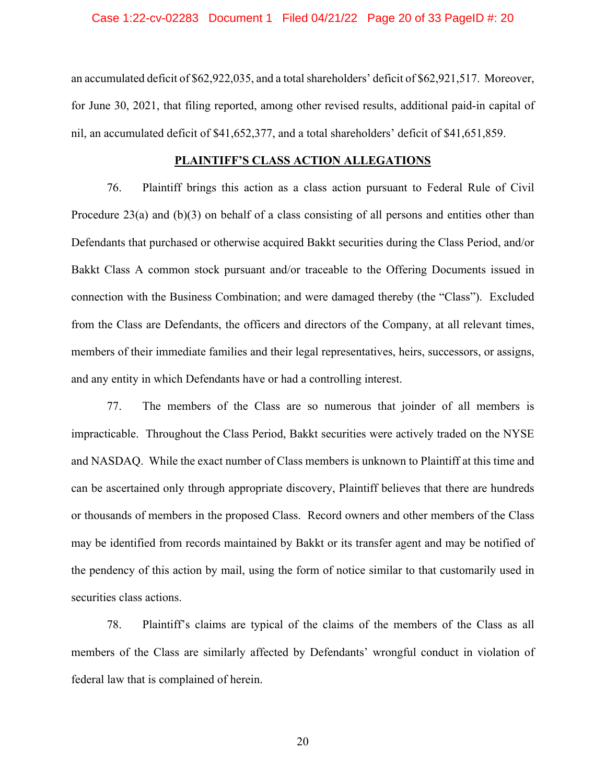#### Case 1:22-cv-02283 Document 1 Filed 04/21/22 Page 20 of 33 PageID #: 20

an accumulated deficit of \$62,922,035, and a total shareholders' deficit of \$62,921,517. Moreover, for June 30, 2021, that filing reported, among other revised results, additional paid-in capital of nil, an accumulated deficit of \$41,652,377, and a total shareholders' deficit of \$41,651,859.

#### **PLAINTIFF'S CLASS ACTION ALLEGATIONS**

76. Plaintiff brings this action as a class action pursuant to Federal Rule of Civil Procedure 23(a) and (b)(3) on behalf of a class consisting of all persons and entities other than Defendants that purchased or otherwise acquired Bakkt securities during the Class Period, and/or Bakkt Class A common stock pursuant and/or traceable to the Offering Documents issued in connection with the Business Combination; and were damaged thereby (the "Class"). Excluded from the Class are Defendants, the officers and directors of the Company, at all relevant times, members of their immediate families and their legal representatives, heirs, successors, or assigns, and any entity in which Defendants have or had a controlling interest.

77. The members of the Class are so numerous that joinder of all members is impracticable. Throughout the Class Period, Bakkt securities were actively traded on the NYSE and NASDAQ. While the exact number of Class members is unknown to Plaintiff at this time and can be ascertained only through appropriate discovery, Plaintiff believes that there are hundreds or thousands of members in the proposed Class. Record owners and other members of the Class may be identified from records maintained by Bakkt or its transfer agent and may be notified of the pendency of this action by mail, using the form of notice similar to that customarily used in securities class actions.

78. Plaintiff's claims are typical of the claims of the members of the Class as all members of the Class are similarly affected by Defendants' wrongful conduct in violation of federal law that is complained of herein.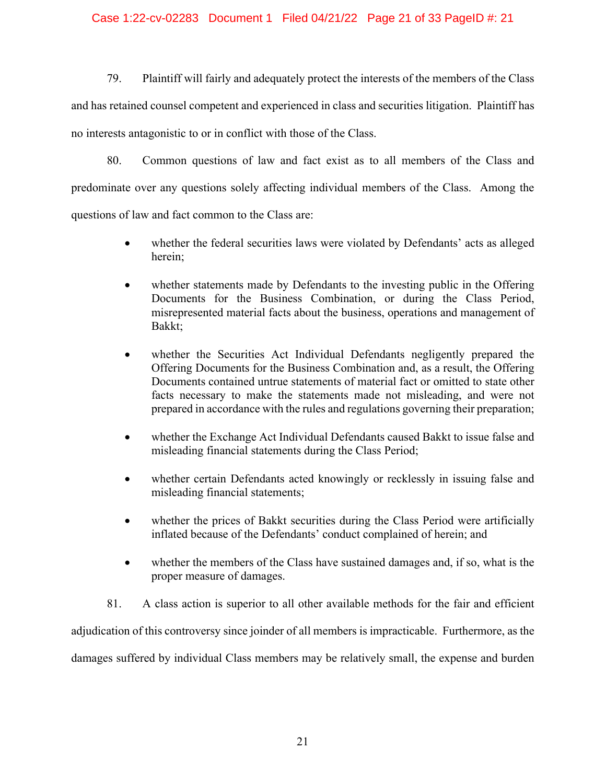# Case 1:22-cv-02283 Document 1 Filed 04/21/22 Page 21 of 33 PageID #: 21

79. Plaintiff will fairly and adequately protect the interests of the members of the Class and has retained counsel competent and experienced in class and securities litigation. Plaintiff has no interests antagonistic to or in conflict with those of the Class.

80. Common questions of law and fact exist as to all members of the Class and predominate over any questions solely affecting individual members of the Class. Among the questions of law and fact common to the Class are:

- whether the federal securities laws were violated by Defendants' acts as alleged herein;
- whether statements made by Defendants to the investing public in the Offering Documents for the Business Combination, or during the Class Period, misrepresented material facts about the business, operations and management of Bakkt;
- whether the Securities Act Individual Defendants negligently prepared the Offering Documents for the Business Combination and, as a result, the Offering Documents contained untrue statements of material fact or omitted to state other facts necessary to make the statements made not misleading, and were not prepared in accordance with the rules and regulations governing their preparation;
- whether the Exchange Act Individual Defendants caused Bakkt to issue false and misleading financial statements during the Class Period;
- whether certain Defendants acted knowingly or recklessly in issuing false and misleading financial statements;
- whether the prices of Bakkt securities during the Class Period were artificially inflated because of the Defendants' conduct complained of herein; and
- whether the members of the Class have sustained damages and, if so, what is the proper measure of damages.

81. A class action is superior to all other available methods for the fair and efficient adjudication of this controversy since joinder of all members is impracticable. Furthermore, as the damages suffered by individual Class members may be relatively small, the expense and burden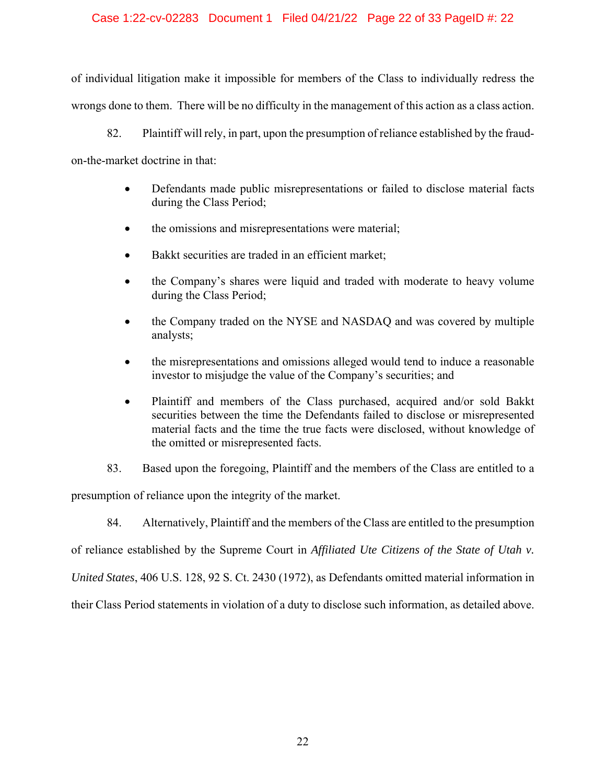# Case 1:22-cv-02283 Document 1 Filed 04/21/22 Page 22 of 33 PageID #: 22

of individual litigation make it impossible for members of the Class to individually redress the wrongs done to them. There will be no difficulty in the management of this action as a class action.

82. Plaintiff will rely, in part, upon the presumption of reliance established by the fraudon-the-market doctrine in that:

- Defendants made public misrepresentations or failed to disclose material facts during the Class Period;
- the omissions and misrepresentations were material;
- Bakkt securities are traded in an efficient market;
- the Company's shares were liquid and traded with moderate to heavy volume during the Class Period;
- the Company traded on the NYSE and NASDAQ and was covered by multiple analysts;
- the misrepresentations and omissions alleged would tend to induce a reasonable investor to misjudge the value of the Company's securities; and
- Plaintiff and members of the Class purchased, acquired and/or sold Bakkt securities between the time the Defendants failed to disclose or misrepresented material facts and the time the true facts were disclosed, without knowledge of the omitted or misrepresented facts.

83. Based upon the foregoing, Plaintiff and the members of the Class are entitled to a

presumption of reliance upon the integrity of the market.

84. Alternatively, Plaintiff and the members of the Class are entitled to the presumption

of reliance established by the Supreme Court in *Affiliated Ute Citizens of the State of Utah v.* 

*United States*, 406 U.S. 128, 92 S. Ct. 2430 (1972), as Defendants omitted material information in

their Class Period statements in violation of a duty to disclose such information, as detailed above.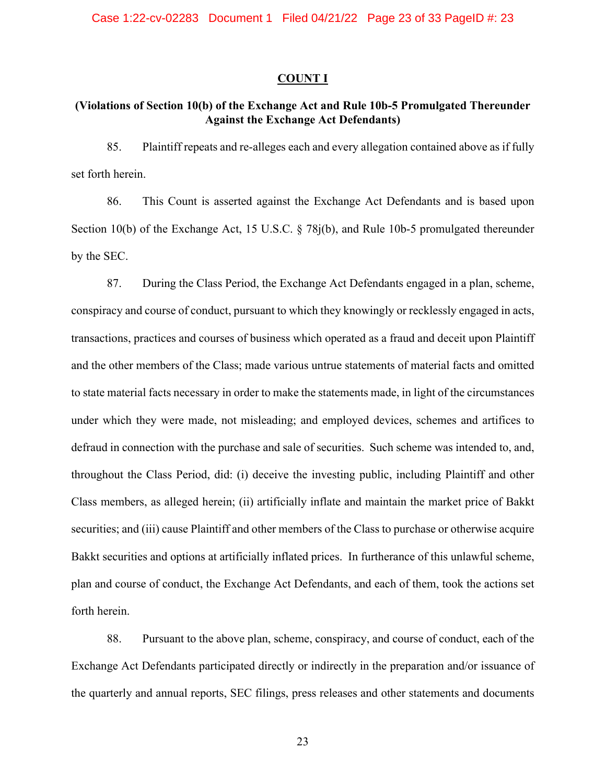#### **COUNT I**

# **(Violations of Section 10(b) of the Exchange Act and Rule 10b-5 Promulgated Thereunder Against the Exchange Act Defendants)**

85. Plaintiff repeats and re-alleges each and every allegation contained above as if fully set forth herein.

86. This Count is asserted against the Exchange Act Defendants and is based upon Section 10(b) of the Exchange Act, 15 U.S.C. § 78j(b), and Rule 10b-5 promulgated thereunder by the SEC.

87. During the Class Period, the Exchange Act Defendants engaged in a plan, scheme, conspiracy and course of conduct, pursuant to which they knowingly or recklessly engaged in acts, transactions, practices and courses of business which operated as a fraud and deceit upon Plaintiff and the other members of the Class; made various untrue statements of material facts and omitted to state material facts necessary in order to make the statements made, in light of the circumstances under which they were made, not misleading; and employed devices, schemes and artifices to defraud in connection with the purchase and sale of securities. Such scheme was intended to, and, throughout the Class Period, did: (i) deceive the investing public, including Plaintiff and other Class members, as alleged herein; (ii) artificially inflate and maintain the market price of Bakkt securities; and (iii) cause Plaintiff and other members of the Class to purchase or otherwise acquire Bakkt securities and options at artificially inflated prices. In furtherance of this unlawful scheme, plan and course of conduct, the Exchange Act Defendants, and each of them, took the actions set forth herein.

88. Pursuant to the above plan, scheme, conspiracy, and course of conduct, each of the Exchange Act Defendants participated directly or indirectly in the preparation and/or issuance of the quarterly and annual reports, SEC filings, press releases and other statements and documents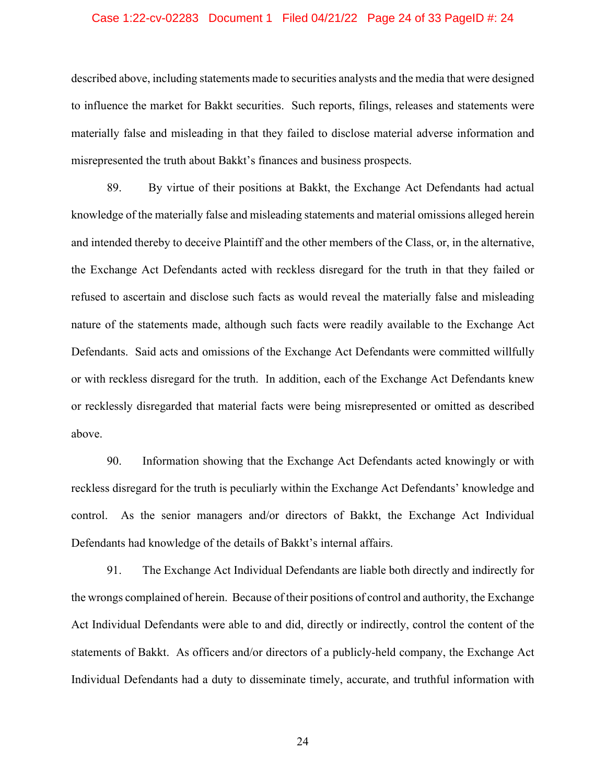#### Case 1:22-cv-02283 Document 1 Filed 04/21/22 Page 24 of 33 PageID #: 24

described above, including statements made to securities analysts and the media that were designed to influence the market for Bakkt securities. Such reports, filings, releases and statements were materially false and misleading in that they failed to disclose material adverse information and misrepresented the truth about Bakkt's finances and business prospects.

89. By virtue of their positions at Bakkt, the Exchange Act Defendants had actual knowledge of the materially false and misleading statements and material omissions alleged herein and intended thereby to deceive Plaintiff and the other members of the Class, or, in the alternative, the Exchange Act Defendants acted with reckless disregard for the truth in that they failed or refused to ascertain and disclose such facts as would reveal the materially false and misleading nature of the statements made, although such facts were readily available to the Exchange Act Defendants. Said acts and omissions of the Exchange Act Defendants were committed willfully or with reckless disregard for the truth. In addition, each of the Exchange Act Defendants knew or recklessly disregarded that material facts were being misrepresented or omitted as described above.

90. Information showing that the Exchange Act Defendants acted knowingly or with reckless disregard for the truth is peculiarly within the Exchange Act Defendants' knowledge and control. As the senior managers and/or directors of Bakkt, the Exchange Act Individual Defendants had knowledge of the details of Bakkt's internal affairs.

91. The Exchange Act Individual Defendants are liable both directly and indirectly for the wrongs complained of herein. Because of their positions of control and authority, the Exchange Act Individual Defendants were able to and did, directly or indirectly, control the content of the statements of Bakkt. As officers and/or directors of a publicly-held company, the Exchange Act Individual Defendants had a duty to disseminate timely, accurate, and truthful information with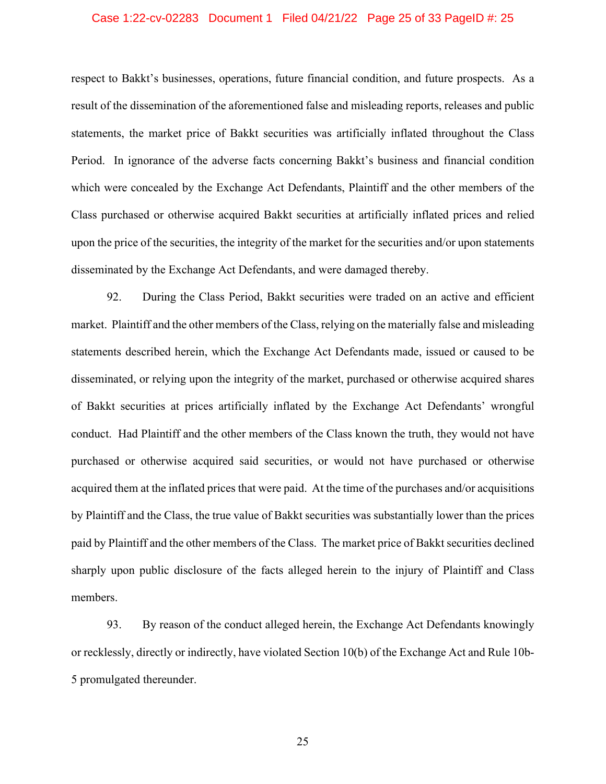# Case 1:22-cv-02283 Document 1 Filed 04/21/22 Page 25 of 33 PageID #: 25

respect to Bakkt's businesses, operations, future financial condition, and future prospects. As a result of the dissemination of the aforementioned false and misleading reports, releases and public statements, the market price of Bakkt securities was artificially inflated throughout the Class Period. In ignorance of the adverse facts concerning Bakkt's business and financial condition which were concealed by the Exchange Act Defendants, Plaintiff and the other members of the Class purchased or otherwise acquired Bakkt securities at artificially inflated prices and relied upon the price of the securities, the integrity of the market for the securities and/or upon statements disseminated by the Exchange Act Defendants, and were damaged thereby.

92. During the Class Period, Bakkt securities were traded on an active and efficient market. Plaintiff and the other members of the Class, relying on the materially false and misleading statements described herein, which the Exchange Act Defendants made, issued or caused to be disseminated, or relying upon the integrity of the market, purchased or otherwise acquired shares of Bakkt securities at prices artificially inflated by the Exchange Act Defendants' wrongful conduct. Had Plaintiff and the other members of the Class known the truth, they would not have purchased or otherwise acquired said securities, or would not have purchased or otherwise acquired them at the inflated prices that were paid. At the time of the purchases and/or acquisitions by Plaintiff and the Class, the true value of Bakkt securities was substantially lower than the prices paid by Plaintiff and the other members of the Class. The market price of Bakkt securities declined sharply upon public disclosure of the facts alleged herein to the injury of Plaintiff and Class members.

93. By reason of the conduct alleged herein, the Exchange Act Defendants knowingly or recklessly, directly or indirectly, have violated Section 10(b) of the Exchange Act and Rule 10b-5 promulgated thereunder.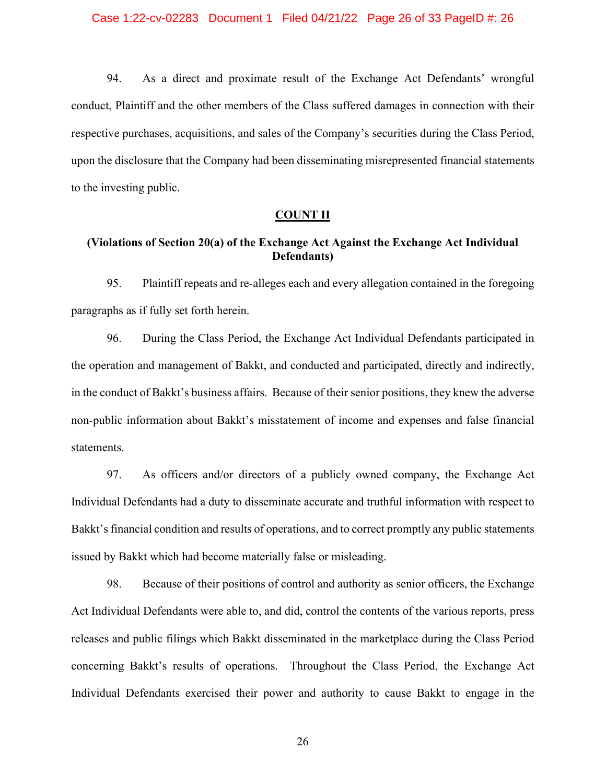94. As a direct and proximate result of the Exchange Act Defendants' wrongful conduct, Plaintiff and the other members of the Class suffered damages in connection with their respective purchases, acquisitions, and sales of the Company's securities during the Class Period, upon the disclosure that the Company had been disseminating misrepresented financial statements to the investing public.

### **COUNT II**

# **(Violations of Section 20(a) of the Exchange Act Against the Exchange Act Individual Defendants)**

95. Plaintiff repeats and re-alleges each and every allegation contained in the foregoing paragraphs as if fully set forth herein.

96. During the Class Period, the Exchange Act Individual Defendants participated in the operation and management of Bakkt, and conducted and participated, directly and indirectly, in the conduct of Bakkt's business affairs. Because of their senior positions, they knew the adverse non-public information about Bakkt's misstatement of income and expenses and false financial statements.

97. As officers and/or directors of a publicly owned company, the Exchange Act Individual Defendants had a duty to disseminate accurate and truthful information with respect to Bakkt's financial condition and results of operations, and to correct promptly any public statements issued by Bakkt which had become materially false or misleading.

98. Because of their positions of control and authority as senior officers, the Exchange Act Individual Defendants were able to, and did, control the contents of the various reports, press releases and public filings which Bakkt disseminated in the marketplace during the Class Period concerning Bakkt's results of operations. Throughout the Class Period, the Exchange Act Individual Defendants exercised their power and authority to cause Bakkt to engage in the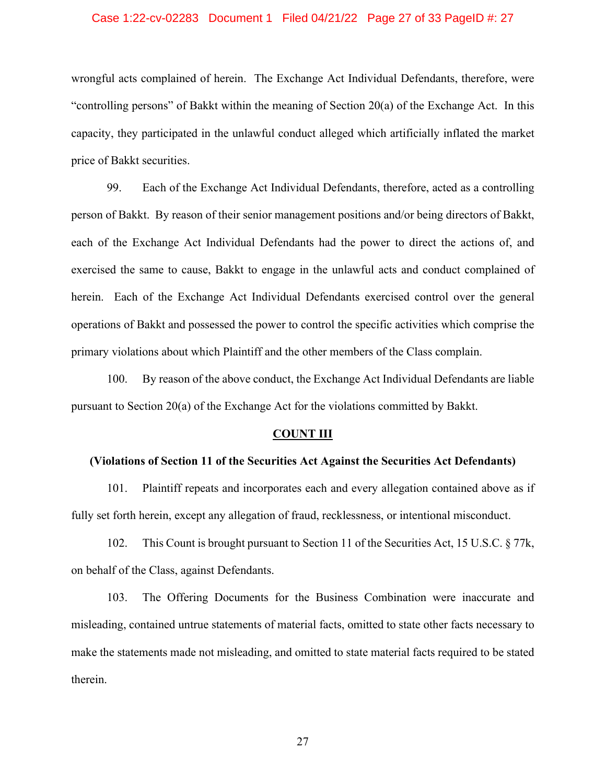#### Case 1:22-cv-02283 Document 1 Filed 04/21/22 Page 27 of 33 PageID #: 27

wrongful acts complained of herein. The Exchange Act Individual Defendants, therefore, were "controlling persons" of Bakkt within the meaning of Section 20(a) of the Exchange Act. In this capacity, they participated in the unlawful conduct alleged which artificially inflated the market price of Bakkt securities.

99. Each of the Exchange Act Individual Defendants, therefore, acted as a controlling person of Bakkt. By reason of their senior management positions and/or being directors of Bakkt, each of the Exchange Act Individual Defendants had the power to direct the actions of, and exercised the same to cause, Bakkt to engage in the unlawful acts and conduct complained of herein. Each of the Exchange Act Individual Defendants exercised control over the general operations of Bakkt and possessed the power to control the specific activities which comprise the primary violations about which Plaintiff and the other members of the Class complain.

100. By reason of the above conduct, the Exchange Act Individual Defendants are liable pursuant to Section 20(a) of the Exchange Act for the violations committed by Bakkt.

#### **COUNT III**

#### **(Violations of Section 11 of the Securities Act Against the Securities Act Defendants)**

101. Plaintiff repeats and incorporates each and every allegation contained above as if fully set forth herein, except any allegation of fraud, recklessness, or intentional misconduct.

102. This Count is brought pursuant to Section 11 of the Securities Act, 15 U.S.C. § 77k, on behalf of the Class, against Defendants.

103. The Offering Documents for the Business Combination were inaccurate and misleading, contained untrue statements of material facts, omitted to state other facts necessary to make the statements made not misleading, and omitted to state material facts required to be stated therein.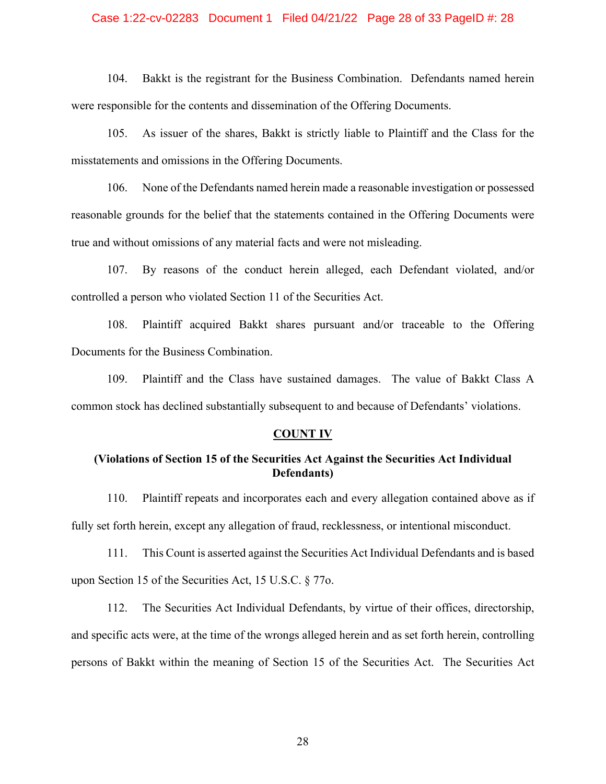#### Case 1:22-cv-02283 Document 1 Filed 04/21/22 Page 28 of 33 PageID #: 28

104. Bakkt is the registrant for the Business Combination. Defendants named herein were responsible for the contents and dissemination of the Offering Documents.

105. As issuer of the shares, Bakkt is strictly liable to Plaintiff and the Class for the misstatements and omissions in the Offering Documents.

106. None of the Defendants named herein made a reasonable investigation or possessed reasonable grounds for the belief that the statements contained in the Offering Documents were true and without omissions of any material facts and were not misleading.

107. By reasons of the conduct herein alleged, each Defendant violated, and/or controlled a person who violated Section 11 of the Securities Act.

108. Plaintiff acquired Bakkt shares pursuant and/or traceable to the Offering Documents for the Business Combination.

109. Plaintiff and the Class have sustained damages. The value of Bakkt Class A common stock has declined substantially subsequent to and because of Defendants' violations.

#### **COUNT IV**

# **(Violations of Section 15 of the Securities Act Against the Securities Act Individual Defendants)**

110. Plaintiff repeats and incorporates each and every allegation contained above as if fully set forth herein, except any allegation of fraud, recklessness, or intentional misconduct.

111. This Count is asserted against the Securities Act Individual Defendants and is based upon Section 15 of the Securities Act, 15 U.S.C. § 77o.

112. The Securities Act Individual Defendants, by virtue of their offices, directorship, and specific acts were, at the time of the wrongs alleged herein and as set forth herein, controlling persons of Bakkt within the meaning of Section 15 of the Securities Act. The Securities Act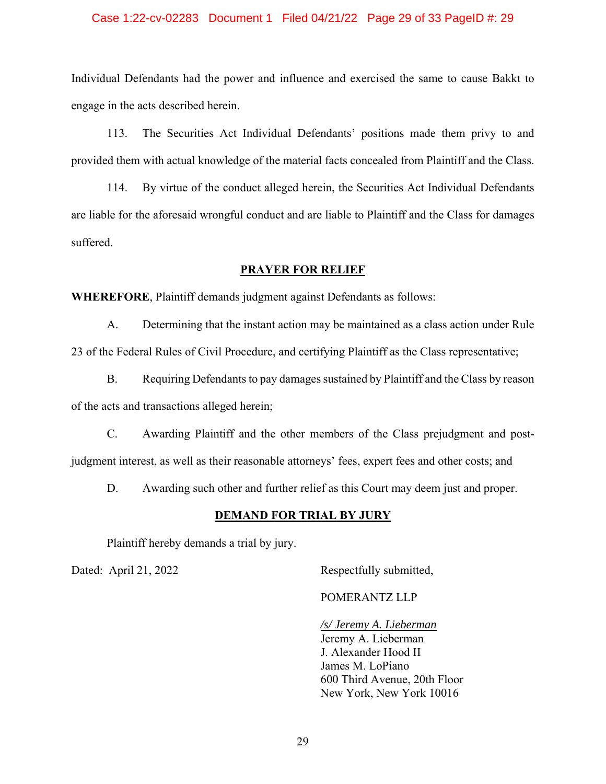### Case 1:22-cv-02283 Document 1 Filed 04/21/22 Page 29 of 33 PageID #: 29

Individual Defendants had the power and influence and exercised the same to cause Bakkt to engage in the acts described herein.

113. The Securities Act Individual Defendants' positions made them privy to and provided them with actual knowledge of the material facts concealed from Plaintiff and the Class.

114. By virtue of the conduct alleged herein, the Securities Act Individual Defendants are liable for the aforesaid wrongful conduct and are liable to Plaintiff and the Class for damages suffered.

## **PRAYER FOR RELIEF**

**WHEREFORE**, Plaintiff demands judgment against Defendants as follows:

A. Determining that the instant action may be maintained as a class action under Rule 23 of the Federal Rules of Civil Procedure, and certifying Plaintiff as the Class representative;

B. Requiring Defendants to pay damages sustained by Plaintiff and the Class by reason of the acts and transactions alleged herein;

C. Awarding Plaintiff and the other members of the Class prejudgment and postjudgment interest, as well as their reasonable attorneys' fees, expert fees and other costs; and

D. Awarding such other and further relief as this Court may deem just and proper.

#### **DEMAND FOR TRIAL BY JURY**

Plaintiff hereby demands a trial by jury.

Dated: April 21, 2022 Respectfully submitted,

#### POMERANTZ LLP

*/s/ Jeremy A. Lieberman*  Jeremy A. Lieberman J. Alexander Hood II James M. LoPiano 600 Third Avenue, 20th Floor New York, New York 10016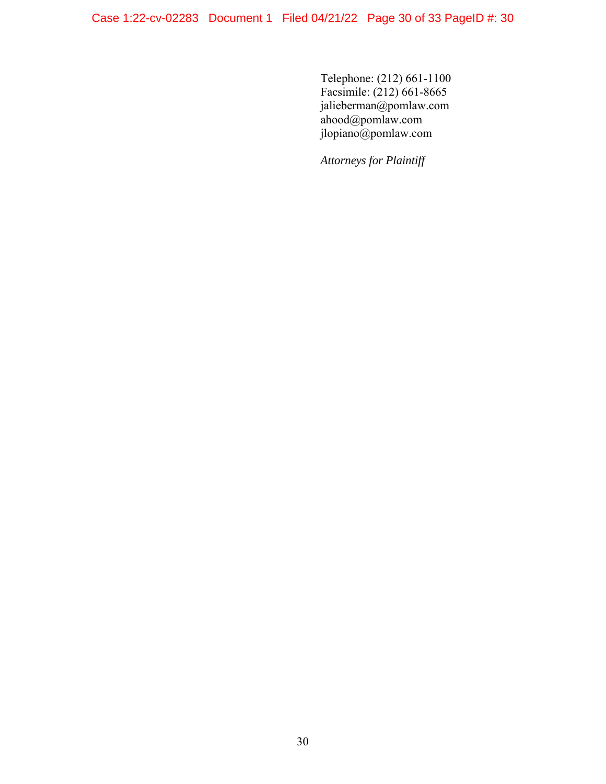Telephone: (212) 661-1100 Facsimile: (212) 661-8665 jalieberman@pomlaw.com ahood@pomlaw.com jlopiano@pomlaw.com

*Attorneys for Plaintiff*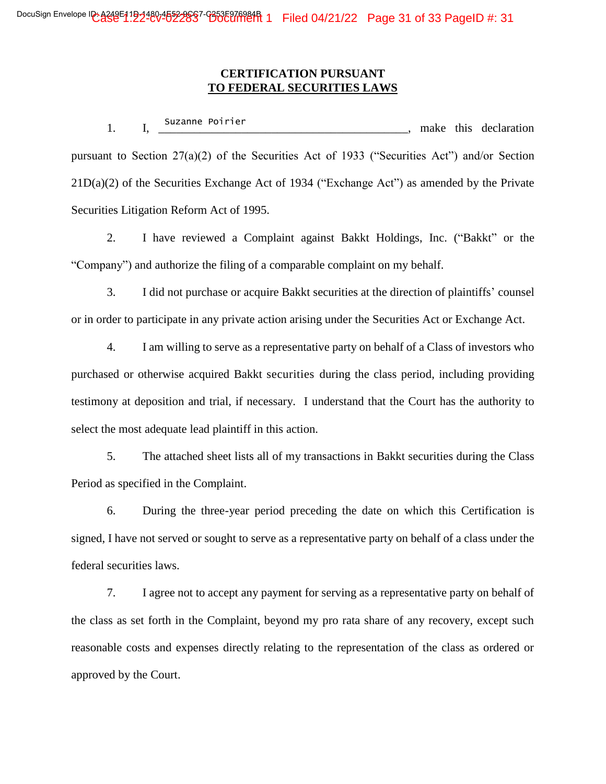# **CERTIFICATION PURSUANT TO FEDERAL SECURITIES LAWS**

1. I,  $\frac{3}{2}$  is the contract of the contract of the state of the declaration pursuant to Section 27(a)(2) of the Securities Act of 1933 ("Securities Act") and/or Section 21D(a)(2) of the Securities Exchange Act of 1934 ("Exchange Act") as amended by the Private Securities Litigation Reform Act of 1995. Suzanne Poirier

2. I have reviewed a Complaint against Bakkt Holdings, Inc. ("Bakkt" or the "Company") and authorize the filing of a comparable complaint on my behalf.

3. I did not purchase or acquire Bakkt securities at the direction of plaintiffs' counsel or in order to participate in any private action arising under the Securities Act or Exchange Act.

4. I am willing to serve as a representative party on behalf of a Class of investors who purchased or otherwise acquired Bakkt securities during the class period, including providing testimony at deposition and trial, if necessary. I understand that the Court has the authority to select the most adequate lead plaintiff in this action.

5. The attached sheet lists all of my transactions in Bakkt securities during the Class Period as specified in the Complaint.

6. During the three-year period preceding the date on which this Certification is signed, I have not served or sought to serve as a representative party on behalf of a class under the federal securities laws.

7. I agree not to accept any payment for serving as a representative party on behalf of the class as set forth in the Complaint, beyond my pro rata share of any recovery, except such reasonable costs and expenses directly relating to the representation of the class as ordered or approved by the Court.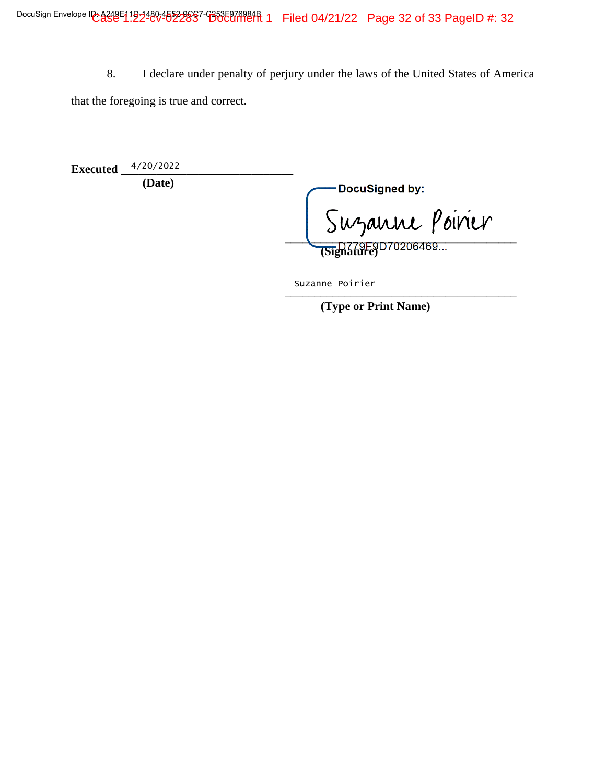8. I declare under penalty of perjury under the laws of the United States of America that the foregoing is true and correct.

**Executed \_\_\_\_\_\_\_\_\_\_\_\_\_\_\_\_\_\_\_\_\_\_\_\_\_\_\_\_\_** 4/20/2022

**(Date)**

DocuSigned by:

**\_\_\_\_\_\_\_\_\_\_\_\_\_\_\_\_\_\_\_\_\_\_\_\_\_\_\_\_\_\_\_\_\_\_\_\_\_\_\_**

**(Signature)**

\_\_\_\_\_\_\_\_\_\_\_\_\_\_\_\_\_\_\_\_\_\_\_\_\_\_\_\_\_\_\_\_\_\_\_\_\_\_\_ Suzanne Poirier

**(Type or Print Name)**